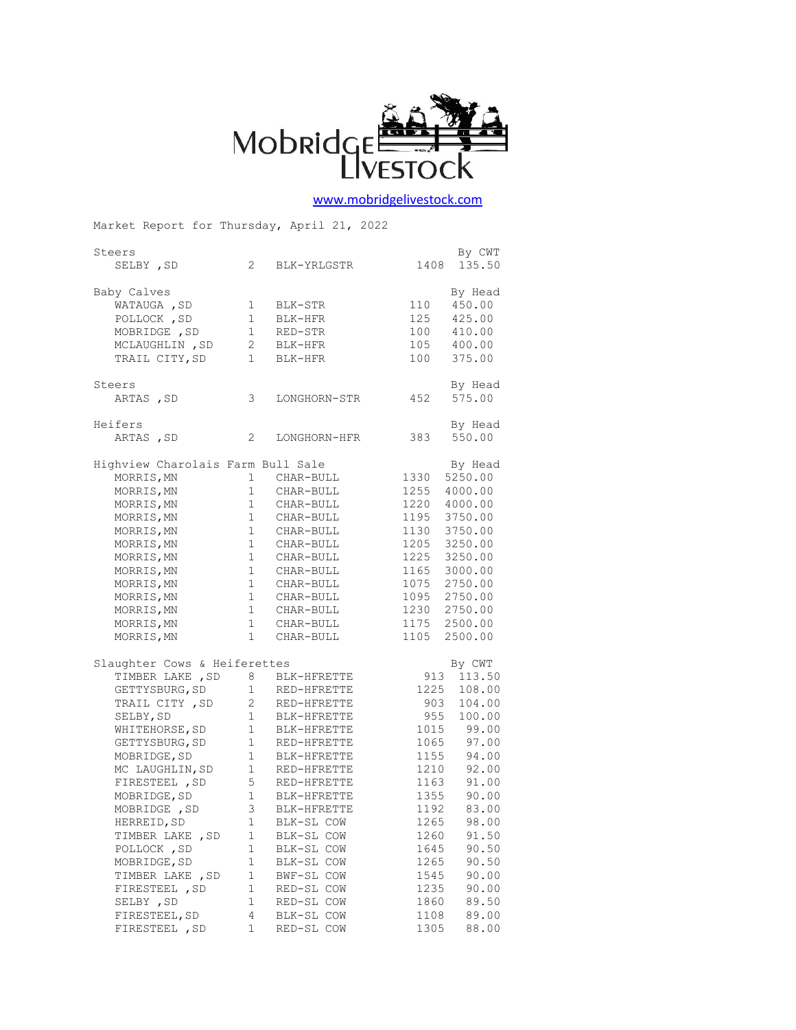

## [www.mobridgelivestock.com](http://www.mobridgelivestock.com/)

| Market Report for Thursday, April 21, 2022 |                                              |                                                                                                                                                                                                  |      |            |  |  |  |
|--------------------------------------------|----------------------------------------------|--------------------------------------------------------------------------------------------------------------------------------------------------------------------------------------------------|------|------------|--|--|--|
| By CWT<br>Steers                           |                                              |                                                                                                                                                                                                  |      |            |  |  |  |
| SELBY , SD                                 | $2^{\circ}$                                  | BLK-YRLGSTR                                                                                                                                                                                      | 1408 | 135.50     |  |  |  |
| Baby Calves                                |                                              |                                                                                                                                                                                                  |      | By Head    |  |  |  |
| WATAUGA , SD                               | $1 \quad$                                    | BLK-STR                                                                                                                                                                                          | 110  | 450.00     |  |  |  |
| POLLOCK, SD                                | $\mathbf{1}$                                 | BLK-HFR                                                                                                                                                                                          | 125  | 425.00     |  |  |  |
| MOBRIDGE , SD                              |                                              |                                                                                                                                                                                                  | 100  | 410.00     |  |  |  |
| MCLAUGHLIN, SD                             |                                              |                                                                                                                                                                                                  | 105  | 400.00     |  |  |  |
| TRAIL CITY, SD                             | $\mathbf{1}$                                 | $\begin{array}{ccccc}\n1 & & \text{Rb}\cup & \dots \\ 2 & & \text{BLK-HFR} & & \dots \\ & & & \dots & \dots & \dots \\ & & & & \dots & \dots \\ & & & & & \dots & \dots\n\end{array}$<br>BLK-HFR | 100  | 375.00     |  |  |  |
| Steers                                     |                                              |                                                                                                                                                                                                  |      | By Head    |  |  |  |
| ARTAS, SD                                  | 3                                            | LONGHORN-STR                                                                                                                                                                                     | 452  | 575.00     |  |  |  |
| Heifers                                    |                                              |                                                                                                                                                                                                  |      | By Head    |  |  |  |
| ARTAS, SD                                  | $\mathbf{2}$                                 | LONGHORN-HFR                                                                                                                                                                                     | 383  | 550.00     |  |  |  |
|                                            | Highview Charolais Farm Bull Sale<br>By Head |                                                                                                                                                                                                  |      |            |  |  |  |
| MORRIS, MN                                 | $1 \quad$                                    | CHAR-BULL                                                                                                                                                                                        | 1330 | 5250.00    |  |  |  |
| MORRIS, MN                                 |                                              | $1 \qquad \texttt{CHAR-BULL}$                                                                                                                                                                    | 1255 | 4000.00    |  |  |  |
| MORRIS, MN                                 |                                              | 1 CHAR-BULL                                                                                                                                                                                      | 1220 | 4000.00    |  |  |  |
| MORRIS, MN                                 | 1                                            | CHAR-BULL                                                                                                                                                                                        | 1195 | 3750.00    |  |  |  |
| MORRIS, MN                                 |                                              | 1 CHAR-BULL                                                                                                                                                                                      | 1130 | 3750.00    |  |  |  |
| MORRIS, MN                                 |                                              | $1 \qquad \texttt{CHAR-BULL}$                                                                                                                                                                    | 1205 | 3250.00    |  |  |  |
| MORRIS, MN                                 | $\mathbf{1}$                                 |                                                                                                                                                                                                  | 1225 | 3250.00    |  |  |  |
| MORRIS, MN                                 | $\mathbf{1}$                                 | CHAR-BULL<br>CHAR-BULL                                                                                                                                                                           | 1165 | 3000.00    |  |  |  |
| MORRIS, MN                                 | 1                                            |                                                                                                                                                                                                  |      | 2750.00    |  |  |  |
|                                            |                                              | CHAR-BULL                                                                                                                                                                                        | 1075 |            |  |  |  |
| MORRIS, MN                                 | $\mathbf{1}$                                 | CHAR-BULL                                                                                                                                                                                        | 1095 | 2750.00    |  |  |  |
| MORRIS, MN                                 | $\mathbf{1}$                                 | CHAR-BULL                                                                                                                                                                                        | 1230 | 2750.00    |  |  |  |
| MORRIS, MN                                 |                                              | 1 CHAR-BULL                                                                                                                                                                                      | 1175 | 2500.00    |  |  |  |
| MORRIS, MN                                 | $\mathbf{1}$                                 | CHAR-BULL                                                                                                                                                                                        | 1105 | 2500.00    |  |  |  |
| Slaughter Cows & Heiferettes               |                                              |                                                                                                                                                                                                  |      | By CWT     |  |  |  |
| TIMBER LAKE, SD                            |                                              | 8 BLK-HFRETTE                                                                                                                                                                                    |      | 913 113.50 |  |  |  |
| GETTYSBURG, SD                             | 1                                            | RED-HFRETTE                                                                                                                                                                                      | 1225 | 108.00     |  |  |  |
| TRAIL CITY, SD                             | 2                                            | - .<br>RED-HFRETTE                                                                                                                                                                               | 903  | 104.00     |  |  |  |
| SELBY, SD                                  | $1 \quad \blacksquare$                       | BLK-HFRETTE                                                                                                                                                                                      | 955  | 100.00     |  |  |  |
| WHITEHORSE, SD                             | $\frac{1}{1}$                                | BLK-HFRETTE                                                                                                                                                                                      | 1015 | 99.00      |  |  |  |
| GETTYSBURG, SD                             |                                              | RED-HFRETTE                                                                                                                                                                                      | 1065 | 97.00      |  |  |  |
| MOBRIDGE, SD                               | $\mathbf{1}$                                 | BLK-HFRETTE                                                                                                                                                                                      | 1155 | 94.00      |  |  |  |
| MC LAUGHLIN, SD                            | $1$ $\,$                                     | RED-HFRETTE                                                                                                                                                                                      | 1210 | 92.00      |  |  |  |
| FIRESTEEL , SD                             | 5                                            | RED-HFRETTE                                                                                                                                                                                      | 1163 | 91.00      |  |  |  |
| MOBRIDGE, SD                               | $\mathbf{1}$                                 | BLK-HFRETTE                                                                                                                                                                                      | 1355 | 90.00      |  |  |  |
| MOBRIDGE , SD                              | 3                                            | BLK-HFRETTE                                                                                                                                                                                      | 1192 | 83.00      |  |  |  |
| HERREID, SD                                | $\mathbf 1$                                  | BLK-SL COW                                                                                                                                                                                       | 1265 | 98.00      |  |  |  |
| TIMBER LAKE , SD                           | $\mathbf 1$                                  | BLK-SL COW                                                                                                                                                                                       | 1260 | 91.50      |  |  |  |
| POLLOCK, SD                                | 1                                            | BLK-SL COW                                                                                                                                                                                       | 1645 | 90.50      |  |  |  |
| MOBRIDGE, SD                               | 1                                            | BLK-SL COW                                                                                                                                                                                       | 1265 | 90.50      |  |  |  |
| TIMBER LAKE , SD                           | 1                                            | BWF-SL COW                                                                                                                                                                                       | 1545 | 90.00      |  |  |  |
| FIRESTEEL , SD                             | $\mathbf 1$                                  | RED-SL COW                                                                                                                                                                                       | 1235 | 90.00      |  |  |  |
| SELBY , SD                                 | 1                                            | RED-SL COW                                                                                                                                                                                       | 1860 | 89.50      |  |  |  |
| FIRESTEEL, SD                              | 4                                            | BLK-SL COW                                                                                                                                                                                       | 1108 | 89.00      |  |  |  |
| FIRESTEEL , SD                             | 1                                            | RED-SL COW                                                                                                                                                                                       | 1305 | 88.00      |  |  |  |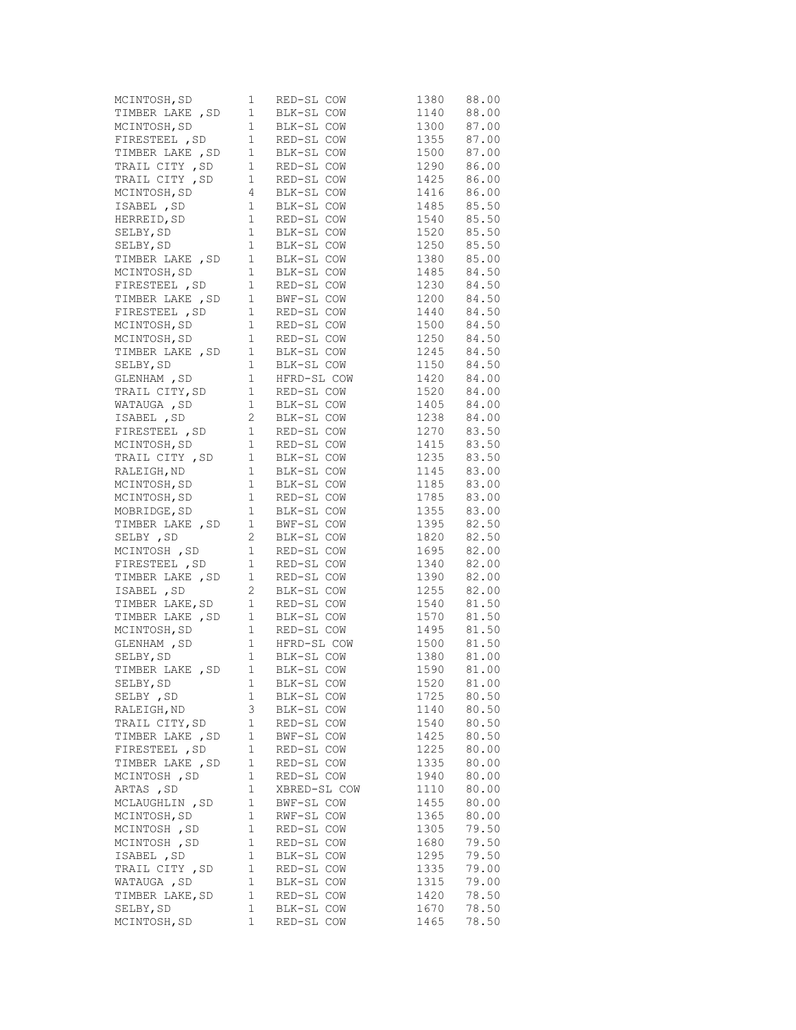| MCINTOSH, SD     | 1           | RED-SL COW<br>$\begin{tabular}{l c c c c c} \hline \texttt{MCLNTOSH, SD} & & & & & & & & \texttt{RED-SL COW} & & & 1380 & 88.00 \\ \hline \texttt{TIMEER LAKE, SD} & 1 & BLK-SL COW & 1140 & 88.00 \\ \hline \texttt{MCLNTOSH, SD} & 1 & BLK-SL COW & 1300 & 87.00 \\ \hline \texttt{TIMESTEEL, SD} & 1 & RED-SL COW & 1355 & 87.00 \\ \hline \texttt{TRRIL CITY, SD} & 1 & RED-SL COW & 1290 & 86.0$ | 1380 | 88.00 |
|------------------|-------------|-------------------------------------------------------------------------------------------------------------------------------------------------------------------------------------------------------------------------------------------------------------------------------------------------------------------------------------------------------------------------------------------------------|------|-------|
|                  |             |                                                                                                                                                                                                                                                                                                                                                                                                       |      |       |
|                  |             |                                                                                                                                                                                                                                                                                                                                                                                                       |      |       |
|                  |             |                                                                                                                                                                                                                                                                                                                                                                                                       |      |       |
|                  |             |                                                                                                                                                                                                                                                                                                                                                                                                       |      |       |
|                  |             |                                                                                                                                                                                                                                                                                                                                                                                                       |      |       |
|                  |             |                                                                                                                                                                                                                                                                                                                                                                                                       |      |       |
|                  |             |                                                                                                                                                                                                                                                                                                                                                                                                       |      |       |
|                  |             |                                                                                                                                                                                                                                                                                                                                                                                                       |      |       |
|                  |             |                                                                                                                                                                                                                                                                                                                                                                                                       |      |       |
|                  |             |                                                                                                                                                                                                                                                                                                                                                                                                       |      |       |
|                  |             |                                                                                                                                                                                                                                                                                                                                                                                                       |      |       |
|                  |             |                                                                                                                                                                                                                                                                                                                                                                                                       |      |       |
|                  |             |                                                                                                                                                                                                                                                                                                                                                                                                       |      |       |
|                  |             |                                                                                                                                                                                                                                                                                                                                                                                                       |      |       |
|                  |             |                                                                                                                                                                                                                                                                                                                                                                                                       |      |       |
|                  |             |                                                                                                                                                                                                                                                                                                                                                                                                       |      |       |
|                  |             |                                                                                                                                                                                                                                                                                                                                                                                                       |      |       |
|                  |             |                                                                                                                                                                                                                                                                                                                                                                                                       |      |       |
|                  |             |                                                                                                                                                                                                                                                                                                                                                                                                       |      |       |
|                  |             |                                                                                                                                                                                                                                                                                                                                                                                                       |      |       |
|                  |             |                                                                                                                                                                                                                                                                                                                                                                                                       |      |       |
|                  |             |                                                                                                                                                                                                                                                                                                                                                                                                       |      |       |
|                  |             |                                                                                                                                                                                                                                                                                                                                                                                                       |      |       |
|                  |             |                                                                                                                                                                                                                                                                                                                                                                                                       |      |       |
|                  |             |                                                                                                                                                                                                                                                                                                                                                                                                       |      |       |
|                  |             |                                                                                                                                                                                                                                                                                                                                                                                                       |      |       |
|                  |             |                                                                                                                                                                                                                                                                                                                                                                                                       |      |       |
|                  |             |                                                                                                                                                                                                                                                                                                                                                                                                       |      |       |
|                  |             |                                                                                                                                                                                                                                                                                                                                                                                                       |      |       |
|                  |             |                                                                                                                                                                                                                                                                                                                                                                                                       |      |       |
|                  |             |                                                                                                                                                                                                                                                                                                                                                                                                       |      |       |
|                  |             |                                                                                                                                                                                                                                                                                                                                                                                                       |      |       |
|                  |             |                                                                                                                                                                                                                                                                                                                                                                                                       |      |       |
|                  |             | FIRESTEEL, SD 1 RED-SL COW 1230 84.50<br>TIMBER LAKE, SD 1 RED-SL COW 1200 84.50<br>TIMBER LAKE, SD 1 RED-SL COW 1444 50<br>MCINTOSH, SD 1 RED-SL COW 1500 84.50<br>MCINTOSH, SD 1 RED-SL COW 1500 84.50<br>MCINTOSH, SD 1 BLK-SL COW 15                                                                                                                                                              |      |       |
|                  |             | MCINTOSH, SD 1 RED-SL COW 1895 82.00<br>TIRESTEEL, SD 1 RED-SL COW 1340 82.00<br>TIMBER LAKE, SD 1 RED-SL COW 1390 82.00<br>TIMBER LAKE, SD 2 BLK-SL COW 1540 81.50<br>TIMBER LAKE, SD 1 RED-SL COW 1540 81.50<br>TIMBER LAKE, SD 1 BLK-                                                                                                                                                              |      |       |
|                  |             |                                                                                                                                                                                                                                                                                                                                                                                                       |      |       |
|                  |             |                                                                                                                                                                                                                                                                                                                                                                                                       |      |       |
|                  |             |                                                                                                                                                                                                                                                                                                                                                                                                       |      |       |
|                  |             |                                                                                                                                                                                                                                                                                                                                                                                                       |      |       |
|                  |             |                                                                                                                                                                                                                                                                                                                                                                                                       |      |       |
|                  |             |                                                                                                                                                                                                                                                                                                                                                                                                       |      |       |
|                  |             |                                                                                                                                                                                                                                                                                                                                                                                                       |      |       |
|                  |             |                                                                                                                                                                                                                                                                                                                                                                                                       |      |       |
| SELBY, SD        | 1           | BLK-SL COW                                                                                                                                                                                                                                                                                                                                                                                            | 1520 | 81.00 |
| SELBY, SD        | 1           | BLK-SL COW                                                                                                                                                                                                                                                                                                                                                                                            | 1725 | 80.50 |
| RALEIGH, ND      | 3           | BLK-SL COW                                                                                                                                                                                                                                                                                                                                                                                            | 1140 | 80.50 |
| TRAIL CITY, SD   | 1           | RED-SL COW                                                                                                                                                                                                                                                                                                                                                                                            | 1540 | 80.50 |
| TIMBER LAKE, SD  | $\mathbf 1$ | BWF-SL COW                                                                                                                                                                                                                                                                                                                                                                                            | 1425 | 80.50 |
| FIRESTEEL , SD   | 1           | RED-SL COW                                                                                                                                                                                                                                                                                                                                                                                            | 1225 | 80.00 |
| TIMBER LAKE , SD | 1           | RED-SL COW                                                                                                                                                                                                                                                                                                                                                                                            | 1335 | 80.00 |
| MCINTOSH, SD     | 1           | RED-SL COW                                                                                                                                                                                                                                                                                                                                                                                            | 1940 | 80.00 |
| ARTAS, SD        | 1           | XBRED-SL COW                                                                                                                                                                                                                                                                                                                                                                                          | 1110 | 80.00 |
| MCLAUGHLIN, SD   | 1           | BWF-SL COW                                                                                                                                                                                                                                                                                                                                                                                            | 1455 | 80.00 |
| MCINTOSH, SD     | $1\,$       | RWF-SL COW                                                                                                                                                                                                                                                                                                                                                                                            | 1365 | 80.00 |
| MCINTOSH , SD    | 1           | RED-SL COW                                                                                                                                                                                                                                                                                                                                                                                            | 1305 | 79.50 |
| MCINTOSH, SD     | 1           | RED-SL COW                                                                                                                                                                                                                                                                                                                                                                                            | 1680 | 79.50 |
| ISABEL , SD      | 1           | BLK-SL COW                                                                                                                                                                                                                                                                                                                                                                                            | 1295 | 79.50 |
| TRAIL CITY, SD   | $1\,$       | RED-SL COW                                                                                                                                                                                                                                                                                                                                                                                            | 1335 | 79.00 |
| WATAUGA , SD     | 1           | BLK-SL COW                                                                                                                                                                                                                                                                                                                                                                                            | 1315 | 79.00 |
| TIMBER LAKE, SD  | 1           | RED-SL COW                                                                                                                                                                                                                                                                                                                                                                                            | 1420 | 78.50 |
| SELBY, SD        | 1           | BLK-SL COW                                                                                                                                                                                                                                                                                                                                                                                            | 1670 | 78.50 |
| MCINTOSH, SD     | 1           | RED-SL COW                                                                                                                                                                                                                                                                                                                                                                                            | 1465 | 78.50 |